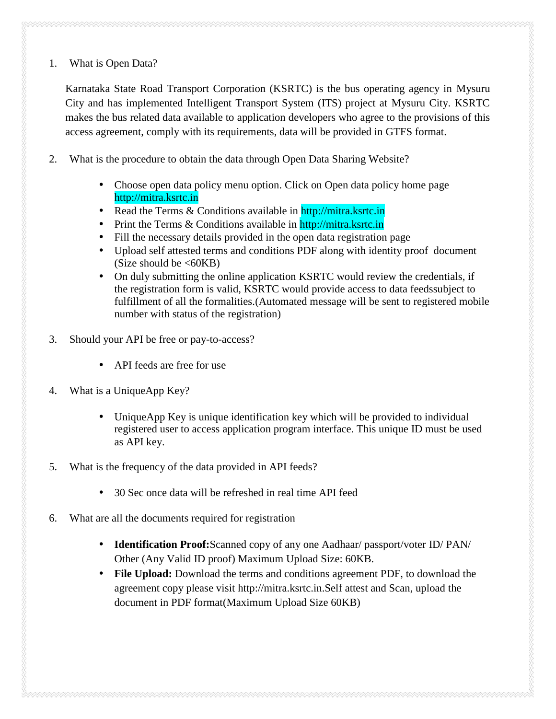1. What is Open Data?

Karnataka State Road Transport Corporation (KSRTC) is the bus operating agency in Mysuru City and has implemented Intelligent Transport System (ITS) project at Mysuru City. KSRTC makes the bus related data available to application developers who agree to the provisions of this access agreement, comply with its requirements, data will be provided in GTFS format.

- 2. What is the procedure to obtain the data through Open Data Sharing Website?
	- Choose open data policy menu option. Click on Open data policy home page http://mitra.ksrtc.in
	- Read the Terms & Conditions available in http://mitra.ksrtc.in
	- Print the Terms & Conditions available in http://mitra.ksrtc.in
	- Fill the necessary details provided in the open data registration page
	- Upload self attested terms and conditions PDF along with identity proof document (Size should be  $\leq 60KB$ )
	- On duly submitting the online application KSRTC would review the credentials, if the registration form is valid, KSRTC would provide access to data feedssubject to fulfillment of all the formalities.(Automated message will be sent to registered mobile number with status of the registration)
- 3. Should your API be free or pay-to-access?
	- API feeds are free for use
- 4. What is a UniqueApp Key?
	- UniqueApp Key is unique identification key which will be provided to individual registered user to access application program interface. This unique ID must be used as API key.
- 5. What is the frequency of the data provided in API feeds?
	- 30 Sec once data will be refreshed in real time API feed
- 6. What are all the documents required for registration
	- **Identification Proof:**Scanned copy of any one Aadhaar/ passport/voter ID/ PAN/ Other (Any Valid ID proof) Maximum Upload Size: 60KB.
	- **File Upload:** Download the terms and conditions agreement PDF, to download the agreement copy please visit http://mitra.ksrtc.in.Self attest and Scan, upload the document in PDF format(Maximum Upload Size 60KB)